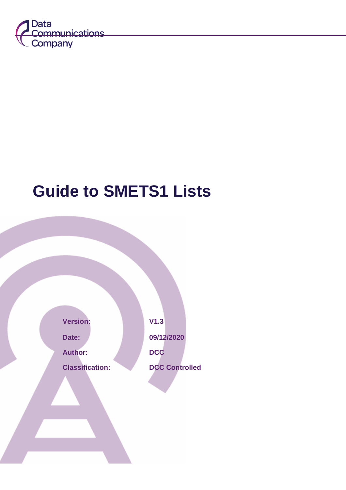

# <span id="page-0-0"></span>**Guide to SMETS1 Lists**

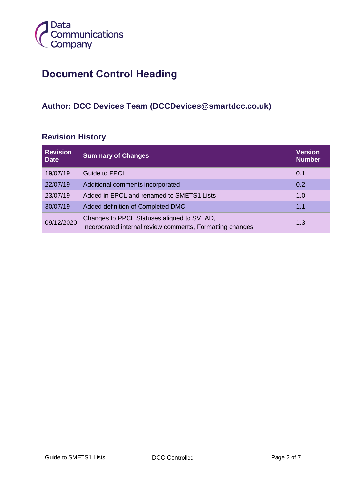

# **Document Control Heading**

### **Author: DCC Devices Team [\(DCCDevices@smartdcc.co.uk\)](mailto:DCCDevices@smartdcc.co.uk)**

#### **Revision History**

| <b>Revision</b><br><b>Date</b> | <b>Summary of Changes</b>                                                                               | <b>Version</b><br><b>Number</b> |
|--------------------------------|---------------------------------------------------------------------------------------------------------|---------------------------------|
| 19/07/19                       | <b>Guide to PPCL</b>                                                                                    | 0.1                             |
| 22/07/19                       | Additional comments incorporated                                                                        | 0.2                             |
| 23/07/19                       | Added in EPCL and renamed to SMETS1 Lists                                                               | 1.0                             |
| 30/07/19                       | Added definition of Completed DMC<br>1.1                                                                |                                 |
| 09/12/2020                     | Changes to PPCL Statuses aligned to SVTAD,<br>Incorporated internal review comments, Formatting changes | 1.3                             |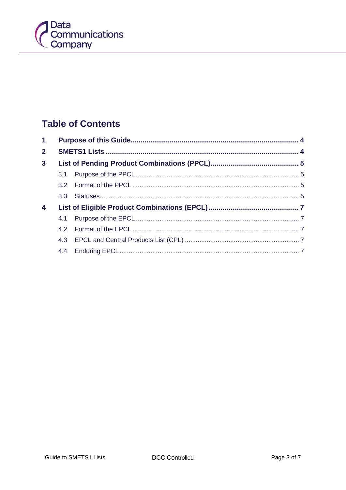

# **Table of Contents**

| $\mathbf 1$    |  |  |  |
|----------------|--|--|--|
| 2 <sup>1</sup> |  |  |  |
| 3 <sup>1</sup> |  |  |  |
|                |  |  |  |
|                |  |  |  |
|                |  |  |  |
| 4              |  |  |  |
|                |  |  |  |
|                |  |  |  |
|                |  |  |  |
|                |  |  |  |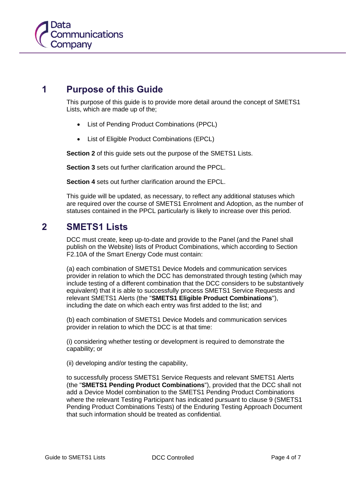# **1 Purpose of this Guide**

<span id="page-3-0"></span>This purpose of this guide is to provide more detail around the concept of SMETS1 Lists, which are made up of the;

- List of Pending Product Combinations (PPCL)
- List of Eligible Product Combinations (EPCL)

**Section 2** of this quide sets out the purpose of the SMETS1 Lists.

**Section 3** sets out further clarification around the PPCL.

**Section 4** sets out further clarification around the EPCL.

This guide will be updated, as necessary, to reflect any additional statuses which are required over the course of SMETS1 Enrolment and Adoption, as the number of statuses contained in the PPCL particularly is likely to increase over this period.

#### <span id="page-3-1"></span>**2 SMETS1 Lists**

DCC must create, keep up-to-date and provide to the Panel (and the Panel shall publish on the Website) lists of Product Combinations, which according to Section F2.10A of the Smart Energy Code must contain:

(a) each combination of SMETS1 Device Models and communication services provider in relation to which the DCC has demonstrated through testing (which may include testing of a different combination that the DCC considers to be substantively equivalent) that it is able to successfully process SMETS1 Service Requests and relevant SMETS1 Alerts (the "**SMETS1 Eligible Product Combinations**"), including the date on which each entry was first added to the list; and

(b) each combination of SMETS1 Device Models and communication services provider in relation to which the DCC is at that time:

(i) considering whether testing or development is required to demonstrate the capability; or

(ii) developing and/or testing the capability,

to successfully process SMETS1 Service Requests and relevant SMETS1 Alerts (the "**SMETS1 Pending Product Combinations**"), provided that the DCC shall not add a Device Model combination to the SMETS1 Pending Product Combinations where the relevant Testing Participant has indicated pursuant to clause 9 (SMETS1) Pending Product Combinations Tests) of the Enduring Testing Approach Document that such information should be treated as confidential.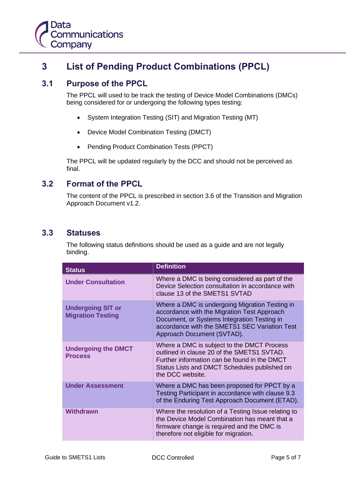# <span id="page-4-0"></span>**3 List of Pending Product Combinations (PPCL)**

#### <span id="page-4-1"></span>**3.1 Purpose of the PPCL**

The PPCL will used to be track the testing of Device Model Combinations (DMCs) being considered for or undergoing the following types testing:

- System Integration Testing (SIT) and Migration Testing (MT)
- Device Model Combination Testing (DMCT)
- Pending Product Combination Tests (PPCT)

The PPCL will be updated regularly by the DCC and should not be perceived as final.

#### <span id="page-4-2"></span>**3.2 Format of the PPCL**

The content of the PPCL is prescribed in section 3.6 of the Transition and Migration Approach Document v1.2.

#### <span id="page-4-3"></span>**3.3 Statuses**

The following status definitions should be used as a guide and are not legally binding.

| <b>Status</b>                                        | <b>Definition</b>                                                                                                                                                                                                           |
|------------------------------------------------------|-----------------------------------------------------------------------------------------------------------------------------------------------------------------------------------------------------------------------------|
| <b>Under Consultation</b>                            | Where a DMC is being considered as part of the<br>Device Selection consultation in accordance with<br>clause 13 of the SMETS1 SVTAD                                                                                         |
| <b>Undergoing SIT or</b><br><b>Migration Testing</b> | Where a DMC is undergoing Migration Testing in<br>accordance with the Migration Test Approach<br>Document, or Systems Integration Testing in<br>accordance with the SMETS1 SEC Variation Test<br>Approach Document (SVTAD). |
| <b>Undergoing the DMCT</b><br><b>Process</b>         | Where a DMC is subject to the DMCT Process<br>outlined in clause 20 of the SMETS1 SVTAD.<br>Further information can be found in the DMCT<br>Status Lists and DMCT Schedules published on<br>the DCC website.                |
| <b>Under Assessment</b>                              | Where a DMC has been proposed for PPCT by a<br>Testing Participant in accordance with clause 9.3<br>of the Enduring Test Approach Document (ETAD).                                                                          |
| Withdrawn                                            | Where the resolution of a Testing Issue relating to<br>the Device Model Combination has meant that a<br>firmware change is required and the DMC is<br>therefore not eligible for migration.                                 |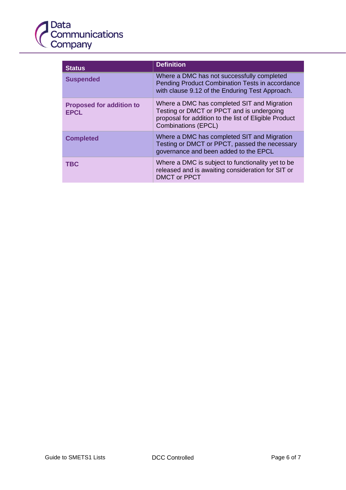

| <b>Status</b>                                  | <b>Definition</b>                                                                                                                                                               |
|------------------------------------------------|---------------------------------------------------------------------------------------------------------------------------------------------------------------------------------|
| <b>Suspended</b>                               | Where a DMC has not successfully completed<br>Pending Product Combination Tests in accordance<br>with clause 9.12 of the Enduring Test Approach.                                |
| <b>Proposed for addition to</b><br><b>EPCL</b> | Where a DMC has completed SIT and Migration<br>Testing or DMCT or PPCT and is undergoing<br>proposal for addition to the list of Eligible Product<br><b>Combinations (EPCL)</b> |
| <b>Completed</b>                               | Where a DMC has completed SIT and Migration<br>Testing or DMCT or PPCT, passed the necessary<br>governance and been added to the EPCL                                           |
| <b>TBC</b>                                     | Where a DMC is subject to functionality yet to be<br>released and is awaiting consideration for SIT or<br><b>DMCT or PPCT</b>                                                   |